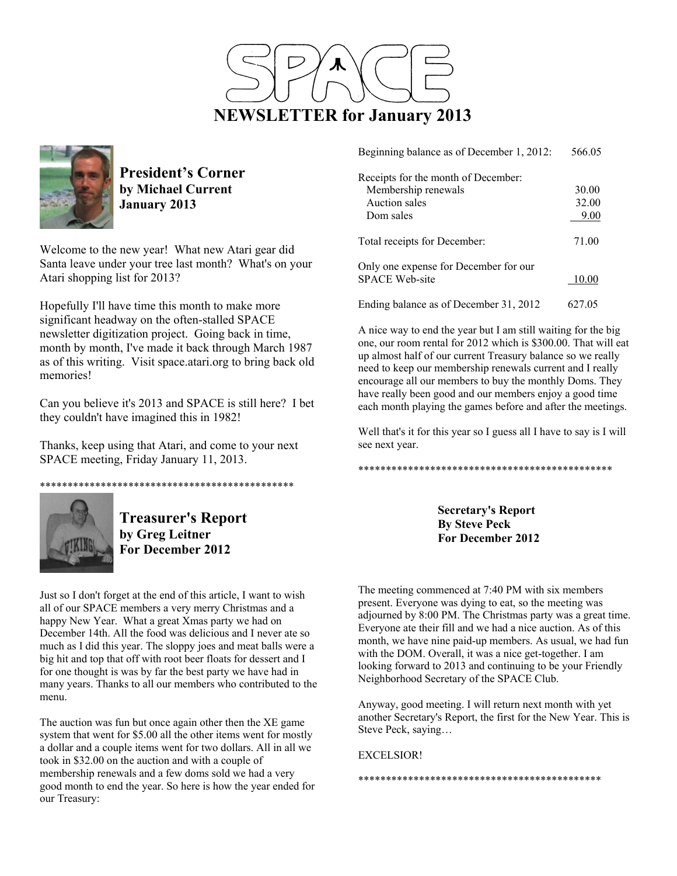



**President's Corner by Michael Current January 2013**

Welcome to the new year! What new Atari gear did Santa leave under your tree last month? What's on your Atari shopping list for 2013?

Hopefully I'll have time this month to make more significant headway on the often-stalled SPACE newsletter digitization project. Going back in time, month by month, I've made it back through March 1987 as of this writing. Visit space.atari.org to bring back old memories!

Can you believe it's 2013 and SPACE is still here? I bet they couldn't have imagined this in 1982!

Thanks, keep using that Atari, and come to your next SPACE meeting, Friday January 11, 2013.





**Treasurer's Report by Greg Leitner For December 2012** 

Just so I don't forget at the end of this article, I want to wish all of our SPACE members a very merry Christmas and a happy New Year. What a great Xmas party we had on December 14th. All the food was delicious and I never ate so much as I did this year. The sloppy joes and meat balls were a big hit and top that off with root beer floats for dessert and I for one thought is was by far the best party we have had in many years. Thanks to all our members who contributed to the menu.

The auction was fun but once again other then the XE game system that went for \$5.00 all the other items went for mostly a dollar and a couple items went for two dollars. All in all we took in \$32.00 on the auction and with a couple of membership renewals and a few doms sold we had a very good month to end the year. So here is how the year ended for our Treasury:

| Beginning balance as of December 1, 2012: | 566.05 |
|-------------------------------------------|--------|
| Receipts for the month of December:       |        |
| Membership renewals                       | 30.00  |
| Auction sales                             | 32.00  |
| Dom sales                                 | 9.00   |
| Total receipts for December:              | 71.00  |
| Only one expense for December for our     |        |
| <b>SPACE Web-site</b>                     | 10.00  |
| Ending balance as of December 31, 2012    | 627.05 |

A nice way to end the year but I am still waiting for the big one, our room rental for 2012 which is \$300.00. That will eat up almost half of our current Treasury balance so we really need to keep our membership renewals current and I really encourage all our members to buy the monthly Doms. They have really been good and our members enjoy a good time each month playing the games before and after the meetings.

Well that's it for this year so I guess all I have to say is I will see next year.

\*\*\*\*\*\*\*\*\*\*\*\*\*\*\*\*\*\*\*\*\*\*\*\*\*\*\*\*\*\*\*\*\*\*\*\*\*\*\*\*\*\*\*\*\*\*

**Secretary's Report By Steve Peck For December 2012** 

The meeting commenced at 7:40 PM with six members present. Everyone was dying to eat, so the meeting was adjourned by 8:00 PM. The Christmas party was a great time. Everyone ate their fill and we had a nice auction. As of this month, we have nine paid-up members. As usual, we had fun with the DOM. Overall, it was a nice get-together. I am looking forward to 2013 and continuing to be your Friendly Neighborhood Secretary of the SPACE Club.

Anyway, good meeting. I will return next month with yet another Secretary's Report, the first for the New Year. This is Steve Peck, saying…

\*\*\*\*\*\*\*\*\*\*\*\*\*\*\*\*\*\*\*\*\*\*\*\*\*\*\*\*\*\*\*\*\*\*\*\*\*\*\*\*\*\*\*\*

EXCELSIOR!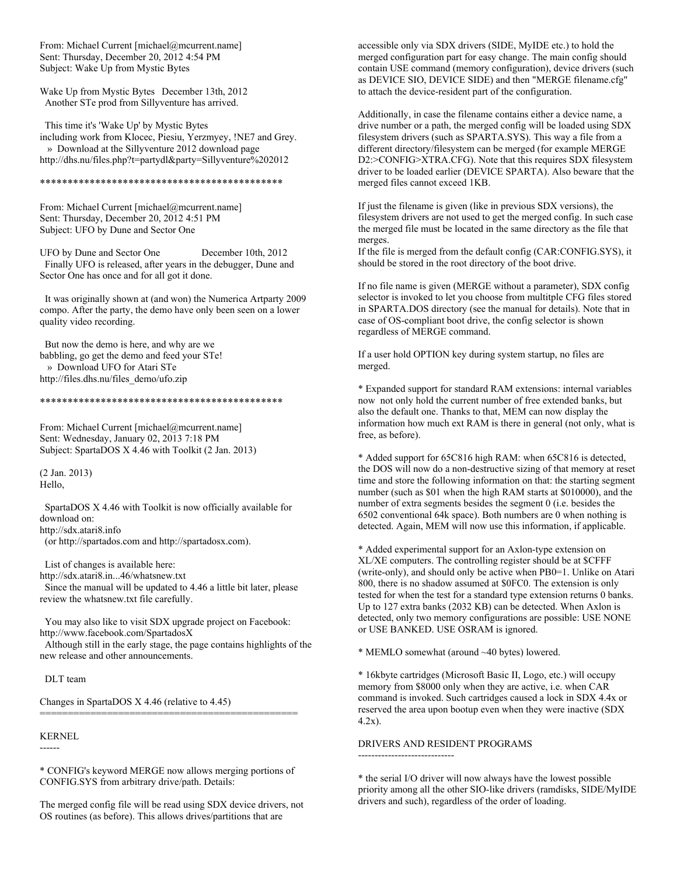From: Michael Current [michael@mcurrent.name] Sent: Thursday, December 20, 2012 4:54 PM Subject: Wake Up from Mystic Bytes

Wake Up from Mystic Bytes December 13th, 2012 Another STe prod from Sillyventure has arrived.

 This time it's 'Wake Up' by Mystic Bytes including work from Klocec, Piesiu, Yerzmyey, !NE7 and Grey. » Download at the Sillyventure 2012 download page http://dhs.nu/files.php?t=partydl&party=Sillyventure%202012

# \*\*\*\*\*\*\*\*\*\*\*\*\*\*\*\*\*\*\*\*\*\*\*\*\*\*\*\*\*\*\*\*\*\*\*\*\*\*\*\*\*\*\*\*

From: Michael Current [michael@mcurrent.name] Sent: Thursday, December 20, 2012 4:51 PM Subject: UFO by Dune and Sector One

UFO by Dune and Sector One December 10th, 2012 Finally UFO is released, after years in the debugger, Dune and Sector One has once and for all got it done.

 It was originally shown at (and won) the Numerica Artparty 2009 compo. After the party, the demo have only been seen on a lower quality video recording.

 But now the demo is here, and why are we babbling, go get the demo and feed your STe! » Download UFO for Atari STe http://files.dhs.nu/files\_demo/ufo.zip

### \*\*\*\*\*\*\*\*\*\*\*\*\*\*\*\*\*\*\*\*\*\*\*\*\*\*\*\*\*\*\*\*\*\*\*\*\*\*\*\*\*\*\*\*

From: Michael Current [michael@mcurrent.name] Sent: Wednesday, January 02, 2013 7:18 PM Subject: SpartaDOS X 4.46 with Toolkit (2 Jan. 2013)

(2 Jan. 2013) Hello,

 SpartaDOS X 4.46 with Toolkit is now officially available for download on: http://sdx.atari8.info

(or http://spartados.com and http://spartadosx.com).

 List of changes is available here: http://sdx.atari8.in...46/whatsnew.txt Since the manual will be updated to 4.46 a little bit later, please review the whatsnew.txt file carefully.

 You may also like to visit SDX upgrade project on Facebook: http://www.facebook.com/SpartadosX

 Although still in the early stage, the page contains highlights of the new release and other announcements.

DLT team

Changes in SpartaDOS X 4.46 (relative to 4.45)

#### KERNEL

------

\* CONFIG's keyword MERGE now allows merging portions of CONFIG.SYS from arbitrary drive/path. Details:

==============================================

The merged config file will be read using SDX device drivers, not OS routines (as before). This allows drives/partitions that are

accessible only via SDX drivers (SIDE, MyIDE etc.) to hold the merged configuration part for easy change. The main config should contain USE command (memory configuration), device drivers (such as DEVICE SIO, DEVICE SIDE) and then "MERGE filename.cfg" to attach the device-resident part of the configuration.

Additionally, in case the filename contains either a device name, a drive number or a path, the merged config will be loaded using SDX filesystem drivers (such as SPARTA.SYS). This way a file from a different directory/filesystem can be merged (for example MERGE D2:>CONFIG>XTRA.CFG). Note that this requires SDX filesystem driver to be loaded earlier (DEVICE SPARTA). Also beware that the merged files cannot exceed 1KB.

If just the filename is given (like in previous SDX versions), the filesystem drivers are not used to get the merged config. In such case the merged file must be located in the same directory as the file that merges.

If the file is merged from the default config (CAR:CONFIG.SYS), it should be stored in the root directory of the boot drive.

If no file name is given (MERGE without a parameter), SDX config selector is invoked to let you choose from multitple CFG files stored in SPARTA.DOS directory (see the manual for details). Note that in case of OS-compliant boot drive, the config selector is shown regardless of MERGE command.

If a user hold OPTION key during system startup, no files are merged.

\* Expanded support for standard RAM extensions: internal variables now not only hold the current number of free extended banks, but also the default one. Thanks to that, MEM can now display the information how much ext RAM is there in general (not only, what is free, as before).

\* Added support for 65C816 high RAM: when 65C816 is detected, the DOS will now do a non-destructive sizing of that memory at reset time and store the following information on that: the starting segment number (such as \$01 when the high RAM starts at \$010000), and the number of extra segments besides the segment 0 (i.e. besides the 6502 conventional 64k space). Both numbers are 0 when nothing is detected. Again, MEM will now use this information, if applicable.

\* Added experimental support for an Axlon-type extension on XL/XE computers. The controlling register should be at \$CFFF (write-only), and should only be active when PB0=1. Unlike on Atari 800, there is no shadow assumed at \$0FC0. The extension is only tested for when the test for a standard type extension returns 0 banks. Up to 127 extra banks (2032 KB) can be detected. When Axlon is detected, only two memory configurations are possible: USE NONE or USE BANKED. USE OSRAM is ignored.

\* MEMLO somewhat (around ~40 bytes) lowered.

\* 16kbyte cartridges (Microsoft Basic II, Logo, etc.) will occupy memory from \$8000 only when they are active, i.e. when CAR command is invoked. Such cartridges caused a lock in SDX 4.4x or reserved the area upon bootup even when they were inactive (SDX 4.2x).

# DRIVERS AND RESIDENT PROGRAMS -----------------------------

\* the serial I/O driver will now always have the lowest possible priority among all the other SIO-like drivers (ramdisks, SIDE/MyIDE drivers and such), regardless of the order of loading.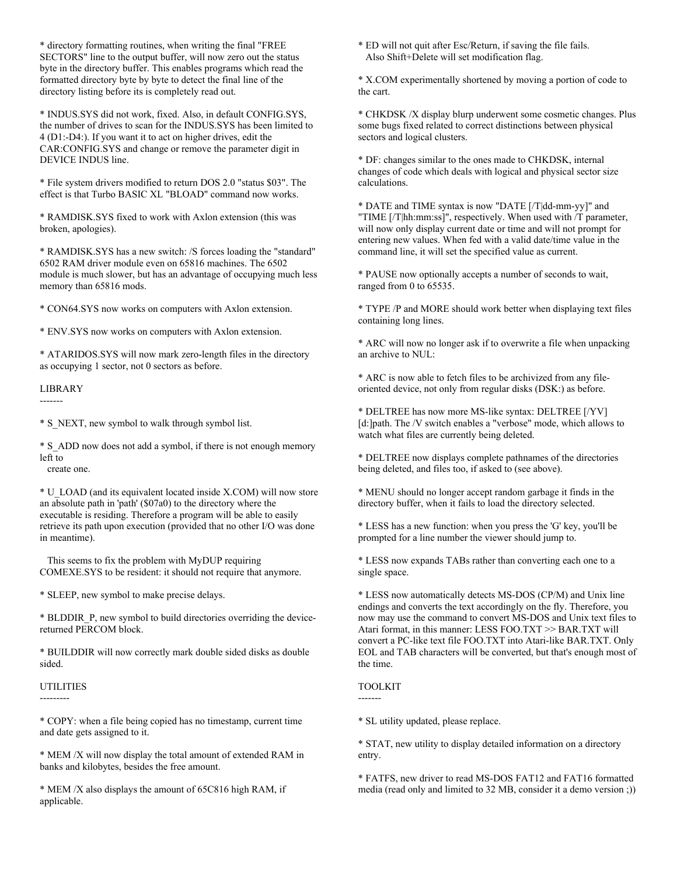\* directory formatting routines, when writing the final "FREE SECTORS" line to the output buffer, will now zero out the status byte in the directory buffer. This enables programs which read the formatted directory byte by byte to detect the final line of the directory listing before its is completely read out.

\* INDUS.SYS did not work, fixed. Also, in default CONFIG.SYS, the number of drives to scan for the INDUS.SYS has been limited to 4 (D1:-D4:). If you want it to act on higher drives, edit the CAR:CONFIG.SYS and change or remove the parameter digit in DEVICE INDUS line.

\* File system drivers modified to return DOS 2.0 "status \$03". The effect is that Turbo BASIC XL "BLOAD" command now works.

\* RAMDISK.SYS fixed to work with Axlon extension (this was broken, apologies).

\* RAMDISK.SYS has a new switch: /S forces loading the "standard" 6502 RAM driver module even on 65816 machines. The 6502 module is much slower, but has an advantage of occupying much less memory than 65816 mods.

\* CON64.SYS now works on computers with Axlon extension.

\* ENV.SYS now works on computers with Axlon extension.

\* ATARIDOS.SYS will now mark zero-length files in the directory as occupying 1 sector, not 0 sectors as before.

# LIBRARY

-------

\* S\_NEXT, new symbol to walk through symbol list.

\* S\_ADD now does not add a symbol, if there is not enough memory left to

create one.

\* U\_LOAD (and its equivalent located inside X.COM) will now store an absolute path in 'path' (\$07a0) to the directory where the executable is residing. Therefore a program will be able to easily retrieve its path upon execution (provided that no other I/O was done in meantime).

 This seems to fix the problem with MyDUP requiring COMEXE.SYS to be resident: it should not require that anymore.

\* SLEEP, new symbol to make precise delays.

\* BLDDIR\_P, new symbol to build directories overriding the devicereturned PERCOM block.

\* BUILDDIR will now correctly mark double sided disks as double sided.

# UTILITIES

---------

\* COPY: when a file being copied has no timestamp, current time and date gets assigned to it.

\* MEM /X will now display the total amount of extended RAM in banks and kilobytes, besides the free amount.

\* MEM /X also displays the amount of 65C816 high RAM, if applicable.

\* ED will not quit after Esc/Return, if saving the file fails. Also Shift+Delete will set modification flag.

\* X.COM experimentally shortened by moving a portion of code to the cart.

\* CHKDSK /X display blurp underwent some cosmetic changes. Plus some bugs fixed related to correct distinctions between physical sectors and logical clusters.

\* DF: changes similar to the ones made to CHKDSK, internal changes of code which deals with logical and physical sector size calculations.

\* DATE and TIME syntax is now "DATE [/T|dd-mm-yy]" and "TIME [/T|hh:mm:ss]", respectively. When used with /T parameter, will now only display current date or time and will not prompt for entering new values. When fed with a valid date/time value in the command line, it will set the specified value as current.

\* PAUSE now optionally accepts a number of seconds to wait, ranged from 0 to 65535.

\* TYPE /P and MORE should work better when displaying text files containing long lines.

\* ARC will now no longer ask if to overwrite a file when unpacking an archive to NUL:

\* ARC is now able to fetch files to be archivized from any fileoriented device, not only from regular disks (DSK:) as before.

\* DELTREE has now more MS-like syntax: DELTREE [/YV] [d:]path. The /V switch enables a "verbose" mode, which allows to watch what files are currently being deleted.

\* DELTREE now displays complete pathnames of the directories being deleted, and files too, if asked to (see above).

\* MENU should no longer accept random garbage it finds in the directory buffer, when it fails to load the directory selected.

\* LESS has a new function: when you press the 'G' key, you'll be prompted for a line number the viewer should jump to.

\* LESS now expands TABs rather than converting each one to a single space.

\* LESS now automatically detects MS-DOS (CP/M) and Unix line endings and converts the text accordingly on the fly. Therefore, you now may use the command to convert MS-DOS and Unix text files to Atari format, in this manner: LESS FOO.TXT >> BAR.TXT will convert a PC-like text file FOO.TXT into Atari-like BAR.TXT. Only EOL and TAB characters will be converted, but that's enough most of the time.

# TOOLKIT

-------

\* SL utility updated, please replace.

\* STAT, new utility to display detailed information on a directory entry.

\* FATFS, new driver to read MS-DOS FAT12 and FAT16 formatted media (read only and limited to 32 MB, consider it a demo version ;))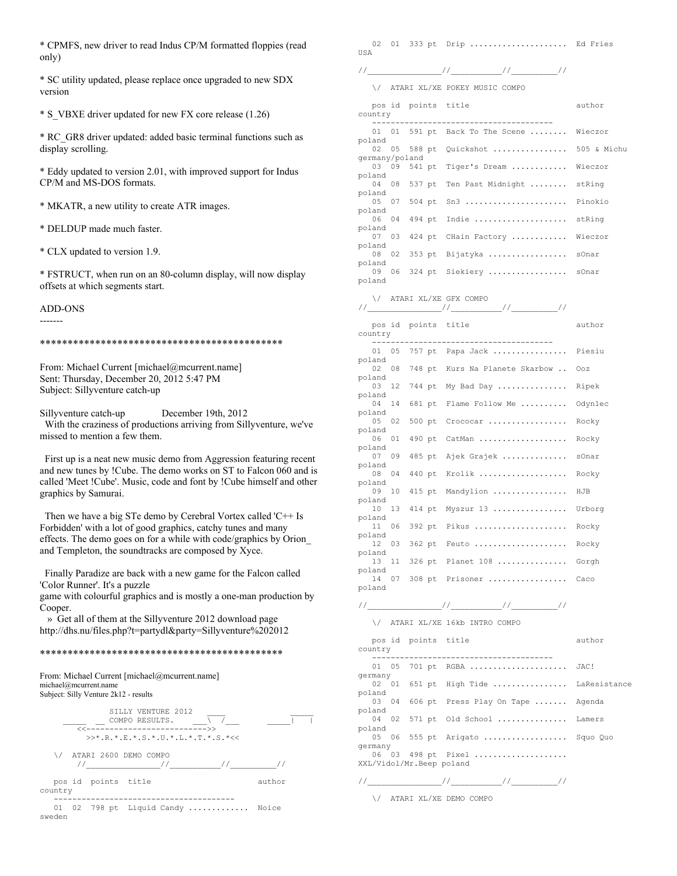\* CPMFS, new driver to read Indus CP/M formatted floppies (read only)

\* SC utility updated, please replace once upgraded to new SDX version

\* S\_VBXE driver updated for new FX core release (1.26)

\* RC\_GR8 driver updated: added basic terminal functions such as display scrolling.

\* Eddy updated to version 2.01, with improved support for Indus CP/M and MS-DOS formats.

\* MKATR, a new utility to create ATR images.

\* DELDUP made much faster.

\* CLX updated to version 1.9.

\* FSTRUCT, when run on an 80-column display, will now display offsets at which segments start.

ADD-ONS -------

\*\*\*\*\*\*\*\*\*\*\*\*\*\*\*\*\*\*\*\*\*\*\*\*\*\*\*\*\*\*\*\*\*\*\*\*\*\*\*\*\*\*\*\*

From: Michael Current [michael@mcurrent.name] Sent: Thursday, December 20, 2012 5:47 PM Subject: Sillyventure catch-up

Sillyventure catch-up December 19th, 2012

 With the craziness of productions arriving from Sillyventure, we've missed to mention a few them.

 First up is a neat new music demo from Aggression featuring recent and new tunes by !Cube. The demo works on ST to Falcon 060 and is called 'Meet !Cube'. Music, code and font by !Cube himself and other graphics by Samurai.

 Then we have a big STe demo by Cerebral Vortex called 'C++ Is Forbidden' with a lot of good graphics, catchy tunes and many effects. The demo goes on for a while with code/graphics by Orion\_ and Templeton, the soundtracks are composed by Xyce.

 Finally Paradize are back with a new game for the Falcon called 'Color Runner'. It's a puzzle

game with colourful graphics and is mostly a one-man production by Cooper.

 » Get all of them at the Sillyventure 2012 download page http://dhs.nu/files.php?t=partydl&party=Sillyventure%202012

# \*\*\*\*\*\*\*\*\*\*\*\*\*\*\*\*\*\*\*\*\*\*\*\*\*\*\*\*\*\*\*\*\*\*\*\*\*\*\*\*\*\*\*\*

From: Michael Current [michael@mcurrent.name] michael@mcurrent.name Subject: Silly Venture 2k12 - results

|         |                     | STILY VENTURE 2012<br>COMPO RESULTS.<br><<----------------------------->> |                             |        |
|---------|---------------------|---------------------------------------------------------------------------|-----------------------------|--------|
|         |                     | >>* R * E * S * U * L * T * S *<<                                         |                             |        |
| ∨       |                     | ATARI 2600 DEMO COMPO                                                     |                             |        |
| country | pos id points title |                                                                           |                             | author |
| sweden  |                     |                                                                           | $01$ 02 798 pt Liquid Candy | Noice  |

02 01 333 pt Drip ........................ Ed Fries USA

//\_\_\_\_\_\_\_\_\_\_\_\_\_\_\_\_//\_\_\_\_\_\_\_\_\_\_\_//\_\_\_\_\_\_\_\_\_\_//

\/ ATARI XL/XE POKEY MUSIC COMPO

|                                           | WIAKI YP YR ROMPI MOSIC COMRO       |         |
|-------------------------------------------|-------------------------------------|---------|
| pos id points title<br>country            |                                     | author  |
| 01 01                                     | 591 pt Back To The Scene            | Wieczor |
| poland<br>02<br>05<br>588 pt              | Quickshot  505 & Michu              |         |
| germany/poland<br>03<br>09<br>541 pt      | Tiger's Dream  Wieczor              |         |
| poland<br>04<br>08<br>537 pt              | Ten Past Midnight  stRing           |         |
| poland<br>05<br>07<br>504 pt              | $sn3$                               | Pinokio |
| poland<br>494 pt<br>06<br>04              | Indie                               | stRing  |
| poland<br>07<br>03<br>424 pt              | CHain Factory  Wieczor              |         |
| poland<br>08<br>02<br>353 pt              | Bijatyka  sOnar                     |         |
| poland<br>09<br>06                        | 324 pt Siekiery  sOnar              |         |
| poland                                    |                                     |         |
| \/ ATARI XL/XE GFX COMPO                  |                                     |         |
| pos id points title<br>country<br>------- |                                     | author  |
| 01 05                                     | 757 pt Papa Jack                    | Piesiu  |
| poland<br>02 08                           | 748 pt Kurs Na Planete Skarbow  Ooz |         |
| poland<br>12<br>744 pt<br>03              | My Bad Day  Ripek                   |         |
| poland<br>04<br>14<br>681 pt              | Flame Follow Me                     | Odynlec |
| poland<br>05<br>02<br>500 pt              | Crococar                            | Rocky   |
| poland<br>06<br>01<br>490 pt              | CatMan                              | Rocky   |
| poland<br>07<br>09<br>485 pt              | Ajek Grajek                         | sOnar   |
| poland<br>08<br>04<br>440 pt              | Krolik                              | Rocky   |
| poland<br>10<br>415 pt<br>09              | Mandylion                           | HJB     |
| poland<br>13<br>414 pt<br>10              | Myszur 13                           | Urborg  |
| poland<br>11<br>06<br>392 pt              | Pikus                               | Rocky   |
| poland<br>03<br>12<br>362 pt              | Feuto                               | Rocky   |
| poland<br>13<br>11<br>326 pt              | Planet $108$                        | Gorgh   |
| poland<br>14<br>07                        | 308 pt Prisoner                     | Caco    |
| poland                                    |                                     |         |
| $\sqrt{2}$                                | ATARI XL/XE 16kb INTRO COMPO        |         |
| pos id                                    | points title                        | author  |
| country                                   | ------------------------            |         |
| 01 05<br>701 pt<br>germany                | RGBA                                | JAC!    |
| 02<br>01<br>poland                        | 651 pt High Tide  LaResistance      |         |
| 03<br>04<br>poland                        | 606 pt Press Play On Tape  Agenda   |         |
| 04<br>02<br>poland                        | $571$ pt Old School                 | Lamers  |
| 05<br>06<br>germany                       | 555 pt Arigato  Squo Quo            |         |
| 06<br>03                                  | 498 pt Pixel                        |         |

\/ ATARI XL/XE DEMO COMPO

//\_\_\_\_\_\_\_\_\_\_\_\_\_\_\_\_//\_\_\_\_\_\_\_\_\_\_\_//\_\_\_\_\_\_\_\_\_\_//

XXL/Vidol/Mr.Beep poland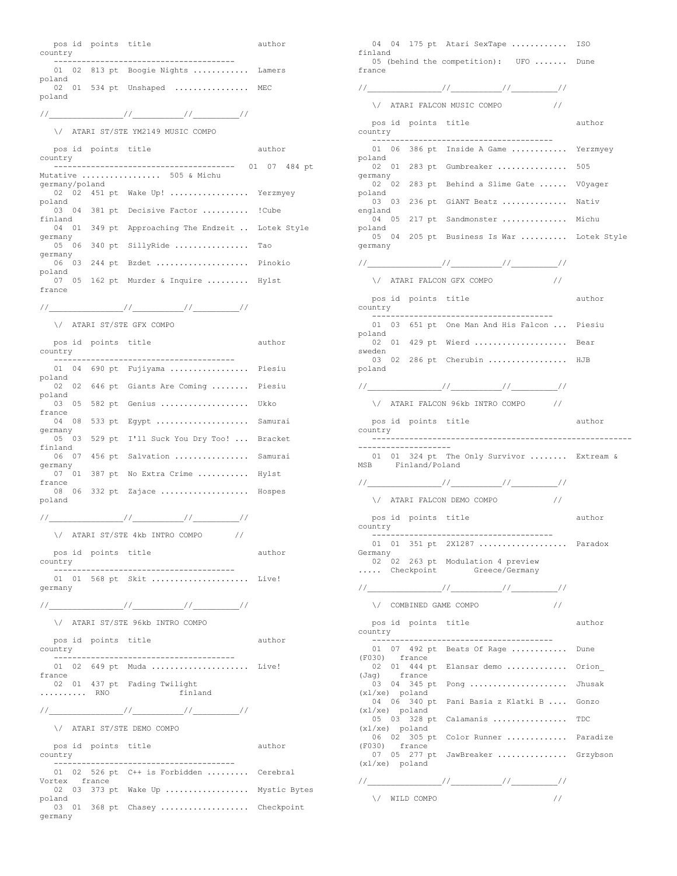pos id points title author country --------------------------------------- 01 02 813 pt Boogie Nights ............ Lamers poland 02 01 534 pt Unshaped ................ MEC poland //\_\_\_\_\_\_\_\_\_\_\_\_\_\_\_\_//\_\_\_\_\_\_\_\_\_\_\_//\_\_\_\_\_\_\_\_\_\_// \/ ATARI ST/STE YM2149 MUSIC COMPO pos id points title author country --------------------------------------- 01 07 484 pt Mutative ................. 505 & Michu germany/poland 02 02 451 pt Wake Up! ................ Yerzmyey poland 03 04 381 pt Decisive Factor .......... !Cube finland 04 01 349 pt Approaching The Endzeit .. Lotek Style germany 05 06 340 pt SillyRide ................ Tao germany 06 03 244 pt Bzdet .................... Pinokio poland 07 05 162 pt Murder & Inquire ......... Hylst france //\_\_\_\_\_\_\_\_\_\_\_\_\_\_\_\_//\_\_\_\_\_\_\_\_\_\_\_//\_\_\_\_\_\_\_\_\_\_// \/ ATARI ST/STE GFX COMPO pos id points title author country --------------------------------------- 01 04 690 pt Fujiyama ................. Piesiu poland 02 02 646 pt Giants Are Coming ....... Piesiu poland 03 05 582 pt Genius ..................... Ukko france 04 08 533 pt Egypt ...................... Samurai germany 05 03 529 pt I'll Suck You Dry Too! ... Bracket finland 06 07 456 pt Salvation ................ Samurai germany 07<sup>1</sup>01 387 pt No Extra Crime ........... Hylst france 08 06 332 pt Zajace ................... Hospes poland //\_\_\_\_\_\_\_\_\_\_\_\_\_\_\_\_//\_\_\_\_\_\_\_\_\_\_\_//\_\_\_\_\_\_\_\_\_\_// \/ ATARI ST/STE 4kb INTRO COMPO // pos id points title author country --------------------------------------- 01 01 568 pt Skit ...................... Live! germany //\_\_\_\_\_\_\_\_\_\_\_\_\_\_\_\_//\_\_\_\_\_\_\_\_\_\_\_//\_\_\_\_\_\_\_\_\_\_// \/ ATARI ST/STE 96kb INTRO COMPO pos id points title author country --------------------------------------- 01 02 649 pt Muda ...................... Live! france 02 01 437 pt Fading Twilight .......... RNO finland //\_\_\_\_\_\_\_\_\_\_\_\_\_\_\_\_//\_\_\_\_\_\_\_\_\_\_\_//\_\_\_\_\_\_\_\_\_\_// \/ ATARI ST/STE DEMO COMPO pos id points title author country --------------------------------------- 01 02 526 pt C++ is Forbidden ......... Cerebral Vortex france 02 03 373 pt Wake Up .................. Mystic Bytes poland 03 01 368 pt Chasey .................... Checkpoint

germany

04 04 175 pt Atari SexTape ............ ISO finland 05 (behind the competition): UFO ....... Dune france //\_\_\_\_\_\_\_\_\_\_\_\_\_\_\_\_//\_\_\_\_\_\_\_\_\_\_\_//\_\_\_\_\_\_\_\_\_\_//  $\sqrt{}$  ATARI FALCON MUSIC COMPO  $\frac{1}{2}$ pos id points title author country --------------------------------------- 01 06 386 pt Inside A Game ............ Yerzmyey poland 02 01 283 pt Gumbreaker ................ 505 germany 02 02 283 pt Behind a Slime Gate ...... V0yager poland 03 03 236 pt GiANT Beatz .............. Nativ england 04 05 217 pt Sandmonster .............. Michu poland 05 04 205 pt Business Is War .......... Lotek Style germany //\_\_\_\_\_\_\_\_\_\_\_\_\_\_\_\_//\_\_\_\_\_\_\_\_\_\_\_//\_\_\_\_\_\_\_\_\_\_//  $\backslash /$  ATARI FALCON GFX COMPO $\hspace{2em} //$ pos id points title author country --------------------------------------- 01 03 651 pt One Man And His Falcon ... Piesiu poland 02 01 429 pt Wierd ...................... Bear sweden 03 02 286 pt Cherubin ................. HJB poland //\_\_\_\_\_\_\_\_\_\_\_\_\_\_\_\_//\_\_\_\_\_\_\_\_\_\_\_//\_\_\_\_\_\_\_\_\_\_// \/ ATARI FALCON 96kb INTRO COMPO // pos id points title author country -------------------------------------------------------- -------------------- 01 01 324 pt The Only Survivor ........ Extream & MSB Finland/Poland //\_\_\_\_\_\_\_\_\_\_\_\_\_\_\_\_//\_\_\_\_\_\_\_\_\_\_\_//\_\_\_\_\_\_\_\_\_\_// \/ ATARI FALCON DEMO COMPO // pos id points title author country --------------------------------------- 01 01 351 pt 2X1287 ................... Paradox Germany 02 02 263 pt Modulation 4 preview ..... Checkpoint Greece/Germany //\_\_\_\_\_\_\_\_\_\_\_\_\_\_\_\_//\_\_\_\_\_\_\_\_\_\_\_//\_\_\_\_\_\_\_\_\_\_// \/ COMBINED GAME COMPO // pos id points title author country --------------------------------------- 01 07 492 pt Beats Of Rage ............ Dune (F030) france 02 01 444 pt Elansar demo ............. Orion\_ (Jag) france 03 04 345 pt Pong ........................ Jhusak (xl/xe) poland 04 06 340 pt Pani Basia z Klatki B .... Gonzo (xl/xe) poland 05 03 328 pt Calamanis ................ TDC (xl/xe) poland 06 02 305 pt Color Runner ............. Paradize (F030) france 07 05 277 pt JawBreaker ............... Grzybson (xl/xe) poland //\_\_\_\_\_\_\_\_\_\_\_\_\_\_\_\_//\_\_\_\_\_\_\_\_\_\_\_//\_\_\_\_\_\_\_\_\_\_//

 $\setminus$  WILD COMPO  $\setminus$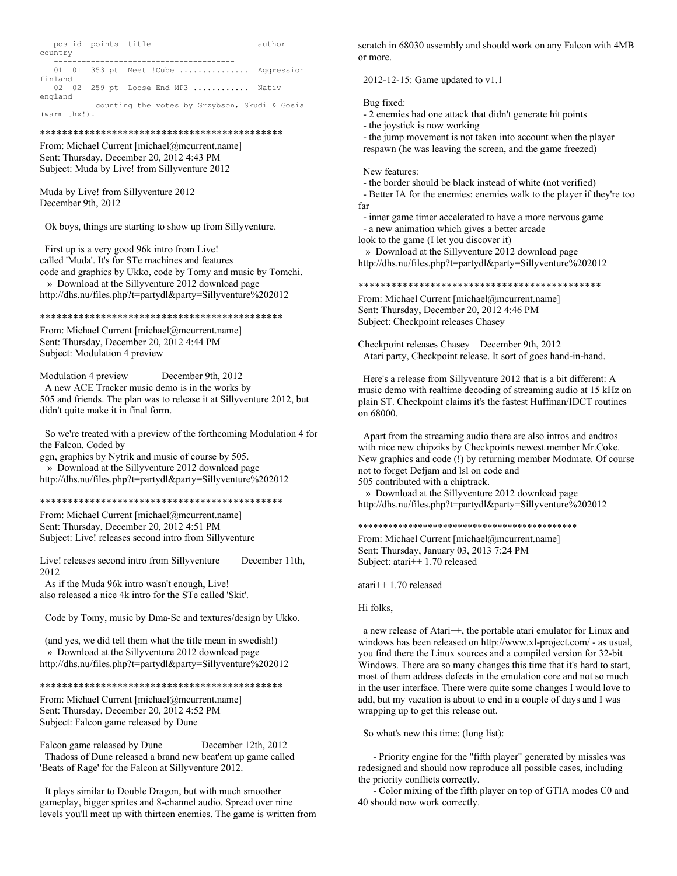| country | pos id points title |                                               | author |
|---------|---------------------|-----------------------------------------------|--------|
|         |                     |                                               |        |
|         |                     | 01 01 353 pt Meet ! Cube  Aggression          |        |
| finland |                     |                                               |        |
|         |                     | 02 02 259 pt Loose End MP3  Nativ             |        |
| england |                     |                                               |        |
|         |                     | counting the votes by Grzybson, Skudi & Gosia |        |

(warm thx!).

#### \*\*\*\*\*\*\*\*\*\*\*\*\*\*\*\*\*\*\*\*\*\*\*\*\*\*\*\*\*\*\*\*\*\*\*\*\*\*\*\*\*\*\*\*

From: Michael Current [michael@mcurrent.name] Sent: Thursday, December 20, 2012 4:43 PM Subject: Muda by Live! from Sillyventure 2012

Muda by Live! from Sillyventure 2012 December 9th, 2012

Ok boys, things are starting to show up from Sillyventure.

 First up is a very good 96k intro from Live! called 'Muda'. It's for STe machines and features code and graphics by Ukko, code by Tomy and music by Tomchi. » Download at the Sillyventure 2012 download page http://dhs.nu/files.php?t=partydl&party=Sillyventure%202012

#### \*\*\*\*\*\*\*\*\*\*\*\*\*\*\*\*\*\*\*\*\*\*\*\*\*\*\*\*\*\*\*\*\*\*\*\*\*\*\*\*\*\*\*\*

From: Michael Current [michael@mcurrent.name] Sent: Thursday, December 20, 2012 4:44 PM Subject: Modulation 4 preview

Modulation 4 preview December 9th, 2012 A new ACE Tracker music demo is in the works by 505 and friends. The plan was to release it at Sillyventure 2012, but didn't quite make it in final form.

 So we're treated with a preview of the forthcoming Modulation 4 for the Falcon. Coded by

ggn, graphics by Nytrik and music of course by 505. » Download at the Sillyventure 2012 download page http://dhs.nu/files.php?t=partydl&party=Sillyventure%202012

# \*\*\*\*\*\*\*\*\*\*\*\*\*\*\*\*\*\*\*\*\*\*\*\*\*\*\*\*\*\*\*\*\*\*\*\*\*\*\*\*\*\*\*\*

From: Michael Current [michael@mcurrent.name] Sent: Thursday, December 20, 2012 4:51 PM Subject: Live! releases second intro from Sillyventure

Live! releases second intro from Sillyventure December 11th, 2012

 As if the Muda 96k intro wasn't enough, Live! also released a nice 4k intro for the STe called 'Skit'.

Code by Tomy, music by Dma-Sc and textures/design by Ukko.

 (and yes, we did tell them what the title mean in swedish!) » Download at the Sillyventure 2012 download page http://dhs.nu/files.php?t=partydl&party=Sillyventure%202012

#### \*\*\*\*\*\*\*\*\*\*\*\*\*\*\*\*\*\*\*\*\*\*\*\*\*\*\*\*\*\*\*\*\*\*\*\*\*\*\*\*\*\*\*\*

From: Michael Current [michael@mcurrent.name] Sent: Thursday, December 20, 2012 4:52 PM Subject: Falcon game released by Dune

Falcon game released by Dune December 12th, 2012 Thadoss of Dune released a brand new beat'em up game called 'Beats of Rage' for the Falcon at Sillyventure 2012.

 It plays similar to Double Dragon, but with much smoother gameplay, bigger sprites and 8-channel audio. Spread over nine levels you'll meet up with thirteen enemies. The game is written from scratch in 68030 assembly and should work on any Falcon with 4MB or more.

# 2012-12-15: Game updated to v1.1

Bug fixed:

- 2 enemies had one attack that didn't generate hit points
- the joystick is now working

 - the jump movement is not taken into account when the player respawn (he was leaving the screen, and the game freezed)

### New features:

- the border should be black instead of white (not verified)

 - Better IA for the enemies: enemies walk to the player if they're too far

 - inner game timer accelerated to have a more nervous game - a new animation which gives a better arcade

look to the game (I let you discover it)

» Download at the Sillyventure 2012 download page

http://dhs.nu/files.php?t=partydl&party=Sillyventure%202012

#### \*\*\*\*\*\*\*\*\*\*\*\*\*\*\*\*\*\*\*\*\*\*\*\*\*\*\*\*\*\*\*\*\*\*\*\*\*\*\*\*\*\*\*\*

From: Michael Current [michael@mcurrent.name] Sent: Thursday, December 20, 2012 4:46 PM Subject: Checkpoint releases Chasey

Checkpoint releases Chasey December 9th, 2012 Atari party, Checkpoint release. It sort of goes hand-in-hand.

 Here's a release from Sillyventure 2012 that is a bit different: A music demo with realtime decoding of streaming audio at 15 kHz on plain ST. Checkpoint claims it's the fastest Huffman/IDCT routines on 68000.

 Apart from the streaming audio there are also intros and endtros with nice new chipziks by Checkpoints newest member Mr.Coke. New graphics and code (!) by returning member Modmate. Of course not to forget Defjam and lsl on code and

505 contributed with a chiptrack.

 » Download at the Sillyventure 2012 download page http://dhs.nu/files.php?t=partydl&party=Sillyventure%202012

# \*\*\*\*\*\*\*\*\*\*\*\*\*\*\*\*\*\*\*\*\*\*\*\*\*\*\*\*\*\*\*\*\*\*\*\*\*\*\*\*\*\*\*\*

From: Michael Current [michael@mcurrent.name] Sent: Thursday, January 03, 2013 7:24 PM Subject: atari++ 1.70 released

atari++ 1.70 released

# Hi folks,

 a new release of Atari++, the portable atari emulator for Linux and windows has been released on http://www.xl-project.com/ - as usual, you find there the Linux sources and a compiled version for 32-bit Windows. There are so many changes this time that it's hard to start, most of them address defects in the emulation core and not so much in the user interface. There were quite some changes I would love to add, but my vacation is about to end in a couple of days and I was wrapping up to get this release out.

So what's new this time: (long list):

 - Priority engine for the "fifth player" generated by missles was redesigned and should now reproduce all possible cases, including the priority conflicts correctly.

 - Color mixing of the fifth player on top of GTIA modes C0 and 40 should now work correctly.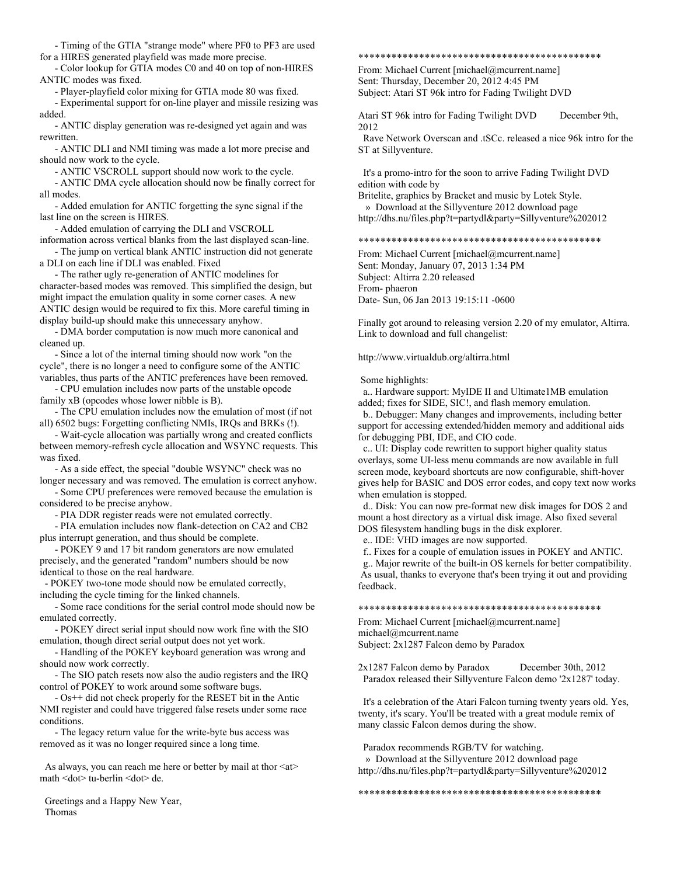- Timing of the GTIA "strange mode" where PF0 to PF3 are used for a HIRES generated playfield was made more precise.

 - Color lookup for GTIA modes C0 and 40 on top of non-HIRES ANTIC modes was fixed.

- Player-playfield color mixing for GTIA mode 80 was fixed.

 - Experimental support for on-line player and missile resizing was added.

 - ANTIC display generation was re-designed yet again and was rewritten.

 - ANTIC DLI and NMI timing was made a lot more precise and should now work to the cycle.

- ANTIC VSCROLL support should now work to the cycle.

 - ANTIC DMA cycle allocation should now be finally correct for all modes.

 - Added emulation for ANTIC forgetting the sync signal if the last line on the screen is HIRES.

 - Added emulation of carrying the DLI and VSCROLL information across vertical blanks from the last displayed scan-line.

 - The jump on vertical blank ANTIC instruction did not generate a DLI on each line if DLI was enabled. Fixed

 - The rather ugly re-generation of ANTIC modelines for character-based modes was removed. This simplified the design, but might impact the emulation quality in some corner cases. A new ANTIC design would be required to fix this. More careful timing in display build-up should make this unnecessary anyhow.

 - DMA border computation is now much more canonical and cleaned up.

 - Since a lot of the internal timing should now work "on the cycle", there is no longer a need to configure some of the ANTIC variables, thus parts of the ANTIC preferences have been removed.

 - CPU emulation includes now parts of the unstable opcode family xB (opcodes whose lower nibble is B).

 - The CPU emulation includes now the emulation of most (if not all) 6502 bugs: Forgetting conflicting NMIs, IRQs and BRKs (!).

 - Wait-cycle allocation was partially wrong and created conflicts between memory-refresh cycle allocation and WSYNC requests. This was fixed.

- As a side effect, the special "double WSYNC" check was no

longer necessary and was removed. The emulation is correct anyhow. - Some CPU preferences were removed because the emulation is considered to be precise anyhow.

- PIA DDR register reads were not emulated correctly.

 - PIA emulation includes now flank-detection on CA2 and CB2 plus interrupt generation, and thus should be complete.

 - POKEY 9 and 17 bit random generators are now emulated precisely, and the generated "random" numbers should be now identical to those on the real hardware.

 - POKEY two-tone mode should now be emulated correctly, including the cycle timing for the linked channels.

 - Some race conditions for the serial control mode should now be emulated correctly.

 - POKEY direct serial input should now work fine with the SIO emulation, though direct serial output does not yet work.

 - Handling of the POKEY keyboard generation was wrong and should now work correctly.

 - The SIO patch resets now also the audio registers and the IRQ control of POKEY to work around some software bugs.

 - Os++ did not check properly for the RESET bit in the Antic NMI register and could have triggered false resets under some race conditions.

 - The legacy return value for the write-byte bus access was removed as it was no longer required since a long time.

As always, you can reach me here or better by mail at thor <at> math <dot> tu-berlin <dot> de.

# Greetings and a Happy New Year, Thomas

# \*\*\*\*\*\*\*\*\*\*\*\*\*\*\*\*\*\*\*\*\*\*\*\*\*\*\*\*\*\*\*\*\*\*\*\*\*\*\*\*\*\*\*\*

From: Michael Current [michael@mcurrent.name] Sent: Thursday, December 20, 2012 4:45 PM Subject: Atari ST 96k intro for Fading Twilight DVD

Atari ST 96k intro for Fading Twilight DVD December 9th, 2012

 Rave Network Overscan and .tSCc. released a nice 96k intro for the ST at Sillyventure.

 It's a promo-intro for the soon to arrive Fading Twilight DVD edition with code by

Britelite, graphics by Bracket and music by Lotek Style. » Download at the Sillyventure 2012 download page

http://dhs.nu/files.php?t=partydl&party=Sillyventure%202012

# \*\*\*\*\*\*\*\*\*\*\*\*\*\*\*\*\*\*\*\*\*\*\*\*\*\*\*\*\*\*\*\*\*\*\*\*\*\*\*\*\*\*\*\*

From: Michael Current [michael@mcurrent.name] Sent: Monday, January 07, 2013 1:34 PM Subject: Altirra 2.20 released From- phaeron Date- Sun, 06 Jan 2013 19:15:11 -0600

Finally got around to releasing version 2.20 of my emulator, Altirra. Link to download and full changelist:

http://www.virtualdub.org/altirra.html

Some highlights:

 a.. Hardware support: MyIDE II and Ultimate1MB emulation added; fixes for SIDE, SIC!, and flash memory emulation.

 b.. Debugger: Many changes and improvements, including better support for accessing extended/hidden memory and additional aids for debugging PBI, IDE, and CIO code.

 c.. UI: Display code rewritten to support higher quality status overlays, some UI-less menu commands are now available in full screen mode, keyboard shortcuts are now configurable, shift-hover gives help for BASIC and DOS error codes, and copy text now works when emulation is stopped.

 d.. Disk: You can now pre-format new disk images for DOS 2 and mount a host directory as a virtual disk image. Also fixed several DOS filesystem handling bugs in the disk explorer.

e.. IDE: VHD images are now supported.

f.. Fixes for a couple of emulation issues in POKEY and ANTIC.

 g.. Major rewrite of the built-in OS kernels for better compatibility. As usual, thanks to everyone that's been trying it out and providing feedback.

\*\*\*\*\*\*\*\*\*\*\*\*\*\*\*\*\*\*\*\*\*\*\*\*\*\*\*\*\*\*\*\*\*\*\*\*\*\*\*\*\*\*\*\*

From: Michael Current [michael@mcurrent.name] michael@mcurrent.name Subject: 2x1287 Falcon demo by Paradox

2x1287 Falcon demo by Paradox December 30th, 2012 Paradox released their Sillyventure Falcon demo '2x1287' today.

 It's a celebration of the Atari Falcon turning twenty years old. Yes, twenty, it's scary. You'll be treated with a great module remix of many classic Falcon demos during the show.

 Paradox recommends RGB/TV for watching. » Download at the Sillyventure 2012 download page http://dhs.nu/files.php?t=partydl&party=Sillyventure%202012

\*\*\*\*\*\*\*\*\*\*\*\*\*\*\*\*\*\*\*\*\*\*\*\*\*\*\*\*\*\*\*\*\*\*\*\*\*\*\*\*\*\*\*\*